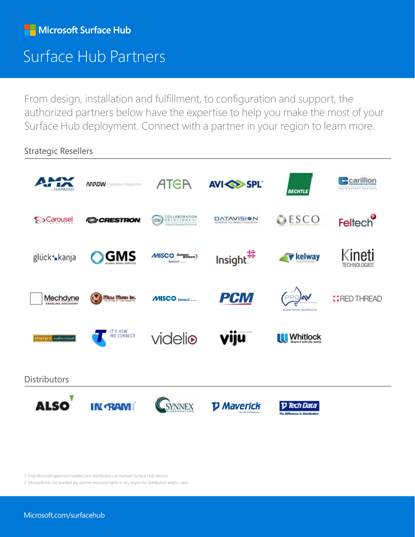## Surface Hub Partners

From design, installation and fulfillment, to configuration and support, the authorized partners below have the expertise to help you make the most of your Surface Hub deployment. Connect with a partner in your region to learn more.

Strategic Resellers



1. Only Microsoft approved resellers and distributors can transact Surface Hub devices.

2. Microsoft has not granted any partner exclusive rights in any region for distribution and/or sales.